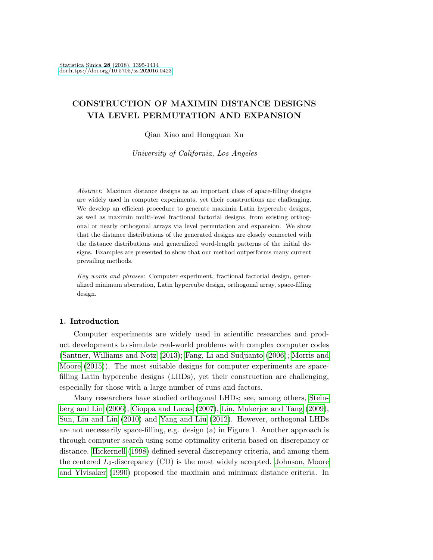# CONSTRUCTION OF MAXIMIN DISTANCE DESIGNS VIA LEVEL PERMUTATION AND EXPANSION

Qian Xiao and Hongquan Xu

University of California, Los Angeles

Abstract: Maximin distance designs as an important class of space-filling designs are widely used in computer experiments, yet their constructions are challenging. We develop an efficient procedure to generate maximin Latin hypercube designs, as well as maximin multi-level fractional factorial designs, from existing orthogonal or nearly orthogonal arrays via level permutation and expansion. We show that the distance distributions of the generated designs are closely connected with the distance distributions and generalized word-length patterns of the initial designs. Examples are presented to show that our method outperforms many current prevailing methods.

Key words and phrases: Computer experiment, fractional factorial design, generalized minimum aberration, Latin hypercube design, orthogonal array, space-filling design.

## 1. Introduction

Computer experiments are widely used in scientific researches and product developments to simulate real-world problems with complex computer codes [\(Santner, Williams and Notz](#page-19-0) [\(2013\)](#page-19-0); [Fang, Li and Sudjianto](#page-18-0) [\(2006\)](#page-18-0); [Morris and](#page-19-1) [Moore](#page-19-1) [\(2015\)](#page-19-1)). The most suitable designs for computer experiments are spacefilling Latin hypercube designs (LHDs), yet their construction are challenging, especially for those with a large number of runs and factors.

Many researchers have studied orthogonal LHDs; see, among others, [Stein](#page-19-2)[berg and Lin](#page-19-2) [\(2006\)](#page-19-2), [Cioppa and Lucas](#page-18-1) [\(2007\)](#page-18-1), [Lin, Mukerjee and Tang](#page-18-2) [\(2009\)](#page-18-2), [Sun, Liu and Lin](#page-19-3) [\(2010\)](#page-19-3) and [Yang and Liu](#page-19-4) [\(2012\)](#page-19-4). However, orthogonal LHDs are not necessarily space-filling, e.g. design (a) in Figure 1. Another approach is through computer search using some optimality criteria based on discrepancy or distance. [Hickernell](#page-18-3) [\(1998\)](#page-18-3) defined several discrepancy criteria, and among them the centered  $L_2$ -discrepancy (CD) is the most widely accepted. [Johnson, Moore](#page-18-4) [and Ylvisaker](#page-18-4) [\(1990\)](#page-18-4) proposed the maximin and minimax distance criteria. In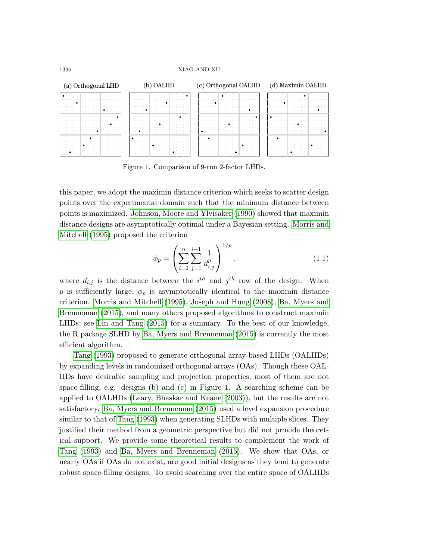

Figure 1. Comparison of 9-run 2-factor LHDs.

this paper, we adopt the maximin distance criterion which seeks to scatter design points over the experimental domain such that the minimum distance between points is maximized. [Johnson, Moore and Ylvisaker](#page-18-4) [\(1990\)](#page-18-4) showed that maximin distance designs are asymptotically optimal under a Bayesian setting. [Morris and](#page-19-5) [Mitchell](#page-19-5) [\(1995\)](#page-19-5) proposed the criterion

<span id="page-1-0"></span>
$$
\phi_p = \left(\sum_{i=2}^n \sum_{j=1}^{i-1} \frac{1}{d_{i,j}^p}\right)^{1/p},\tag{1.1}
$$

where  $d_{i,j}$  is the distance between the  $i^{th}$  and  $j^{th}$  row of the design. When p is sufficiently large,  $\phi_p$  is asymptotically identical to the maximin distance criterion. [Morris and Mitchell](#page-19-5) [\(1995\)](#page-19-5), [Joseph and Hung](#page-18-5) [\(2008\)](#page-18-5), [Ba, Myers and](#page-18-6) [Brenneman](#page-18-6) [\(2015\)](#page-18-6), and many others proposed algorithms to construct maximin LHDs; see [Lin and Tang](#page-18-7) [\(2015\)](#page-18-7) for a summary. To the best of our knowledge, the R package SLHD by [Ba, Myers and Brenneman](#page-18-6) [\(2015\)](#page-18-6) is currently the most efficient algorithm.

[Tang](#page-19-6) [\(1993\)](#page-19-6) proposed to generate orthogonal array-based LHDs (OALHDs) by expanding levels in randomized orthogonal arrays (OAs). Though these OAL-HDs have desirable sampling and projection properties, most of them are not space-filling, e.g. designs (b) and (c) in Figure 1. A searching scheme can be applied to OALHDs [\(Leary, Bhaskar and Keane](#page-18-8) [\(2003\)](#page-18-8)), but the results are not satisfactory. [Ba, Myers and Brenneman](#page-18-6) [\(2015\)](#page-18-6) used a level expansion procedure similar to that of [Tang](#page-19-6) [\(1993\)](#page-19-6) when generating SLHDs with multiple slices. They justified their method from a geometric perspective but did not provide theoretical support. We provide some theoretical results to complement the work of [Tang](#page-19-6) [\(1993\)](#page-19-6) and [Ba, Myers and Brenneman](#page-18-6) [\(2015\)](#page-18-6). We show that OAs, or nearly OAs if OAs do not exist, are good initial designs as they tend to generate robust space-filling designs. To avoid searching over the entire space of OALHDs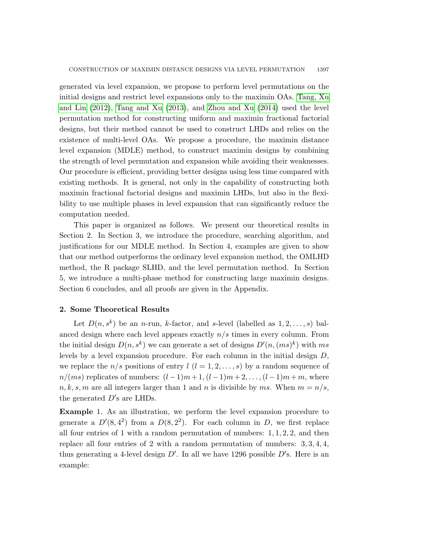generated via level expansion, we propose to perform level permutations on the initial designs and restrict level expansions only to the maximin OAs. [Tang, Xu](#page-19-7) [and Lin](#page-19-7) [\(2012\)](#page-19-7), [Tang and Xu](#page-19-8) [\(2013\)](#page-19-8), and [Zhou and Xu](#page-19-9) [\(2014\)](#page-19-9) used the level permutation method for constructing uniform and maximin fractional factorial designs, but their method cannot be used to construct LHDs and relies on the existence of multi-level OAs. We propose a procedure, the maximin distance level expansion (MDLE) method, to construct maximin designs by combining the strength of level permutation and expansion while avoiding their weaknesses. Our procedure is efficient, providing better designs using less time compared with existing methods. It is general, not only in the capability of constructing both maximin fractional factorial designs and maximin LHDs, but also in the flexibility to use multiple phases in level expansion that can significantly reduce the computation needed.

This paper is organized as follows. We present our theoretical results in Section 2. In Section 3, we introduce the procedure, searching algorithm, and justifications for our MDLE method. In Section 4, examples are given to show that our method outperforms the ordinary level expansion method, the OMLHD method, the R package SLHD, and the level permutation method. In Section 5, we introduce a multi-phase method for constructing large maximin designs. Section 6 concludes, and all proofs are given in the Appendix.

## 2. Some Theoretical Results

Let  $D(n, s^k)$  be an *n*-run, *k*-factor, and *s*-level (labelled as  $1, 2, ..., s$ ) balanced design where each level appears exactly  $n/s$  times in every column. From the initial design  $D(n, s^k)$  we can generate a set of designs  $D'(n, (ms)^k)$  with ms levels by a level expansion procedure. For each column in the initial design D, we replace the  $n/s$  positions of entry  $l$   $(l = 1, 2, \ldots, s)$  by a random sequence of  $n/(ms)$  replicates of numbers:  $(l-1)m+1$ ,  $(l-1)m+2$ , ...,  $(l-1)m+m$ , where  $n, k, s, m$  are all integers larger than 1 and n is divisible by ms. When  $m = n/s$ , the generated  $D$ 's are LHDs.

Example 1. As an illustration, we perform the level expansion procedure to generate a  $D'(8, 4^2)$  from a  $D(8, 2^2)$ . For each column in D, we first replace all four entries of 1 with a random permutation of numbers:  $1, 1, 2, 2$ , and then replace all four entries of 2 with a random permutation of numbers:  $3, 3, 4, 4$ , thus generating a 4-level design  $D'$ . In all we have 1296 possible  $D'$ s. Here is an example: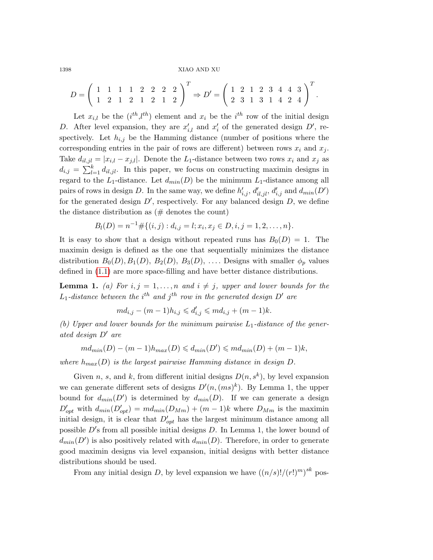$$
D = \left(\begin{array}{rrrrrr} 1 & 1 & 1 & 1 & 2 & 2 & 2 & 2 \\ 1 & 2 & 1 & 2 & 1 & 2 & 1 & 2 \end{array}\right)^T \Rightarrow D' = \left(\begin{array}{rrrrrr} 1 & 2 & 1 & 2 & 3 & 4 & 4 & 3 \\ 2 & 3 & 1 & 3 & 1 & 4 & 2 & 4 \end{array}\right)^T.
$$

Let  $x_{i,l}$  be the  $(i^{th},l^{th})$  element and  $x_i$  be the  $i^{th}$  row of the initial design D. After level expansion, they are  $x'_{i,l}$  and  $x'_i$  of the generated design D', respectively. Let  $h_{i,j}$  be the Hamming distance (number of positions where the corresponding entries in the pair of rows are different) between rows  $x_i$  and  $x_j$ . Take  $d_{i,j} = |x_{i,l} - x_{j,l}|$ . Denote the L<sub>1</sub>-distance between two rows  $x_i$  and  $x_j$  as  $d_{i,j} = \sum_{l=1}^{k} d_{il,jl}$ . In this paper, we focus on constructing maximin designs in regard to the  $L_1$ -distance. Let  $d_{min}(D)$  be the minimum  $L_1$ -distance among all pairs of rows in design D. In the same way, we define  $h'_{i,j}$ ,  $d'_{i,jl}$ ,  $d'_{i,j}$  and  $d_{min}(D')$ for the generated design  $D'$ , respectively. For any balanced design  $D$ , we define the distance distribution as  $(\#$  denotes the count)

$$
B_l(D) = n^{-1} \# \{ (i,j) : d_{i,j} = l; x_i, x_j \in D, i, j = 1, 2, \dots, n \}.
$$

It is easy to show that a design without repeated runs has  $B_0(D) = 1$ . The maximin design is defined as the one that sequentially minimizes the distance distribution  $B_0(D), B_1(D), B_2(D), B_3(D), \ldots$  Designs with smaller  $\phi_p$  values defined in [\(1.1\)](#page-1-0) are more space-filling and have better distance distributions.

**Lemma 1.** (a) For  $i, j = 1, ..., n$  and  $i \neq j$ , upper and lower bounds for the  $L_1$ -distance between the i<sup>th</sup> and j<sup>th</sup> row in the generated design D' are

$$
m d_{i,j} - (m-1) h_{i,j} \leq d'_{i,j} \leq m d_{i,j} + (m-1)k.
$$

(b) Upper and lower bounds for the minimum pairwise  $L_1$ -distance of the generated design  $D'$  are

$$
md_{min}(D)-(m-1)h_{max}(D) \leq d_{min}(D') \leq m d_{min}(D)+(m-1)k,
$$

where  $h_{max}(D)$  is the largest pairwise Hamming distance in design D.

Given n, s, and k, from different initial designs  $D(n, s^k)$ , by level expansion we can generate different sets of designs  $D'(n,(ms)^k)$ . By Lemma 1, the upper bound for  $d_{min}(D')$  is determined by  $d_{min}(D)$ . If we can generate a design  $D'_{opt}$  with  $d_{min}(D'_{opt}) = md_{min}(D_{Mm}) + (m-1)k$  where  $D_{Mm}$  is the maximin initial design, it is clear that  $D'_{opt}$  has the largest minimum distance among all possible  $D$ 's from all possible initial designs  $D$ . In Lemma 1, the lower bound of  $d_{min}(D')$  is also positively related with  $d_{min}(D)$ . Therefore, in order to generate good maximin designs via level expansion, initial designs with better distance distributions should be used.

From any initial design D, by level expansion we have  $((n/s)!/(r!)^m)^{sk}$  pos-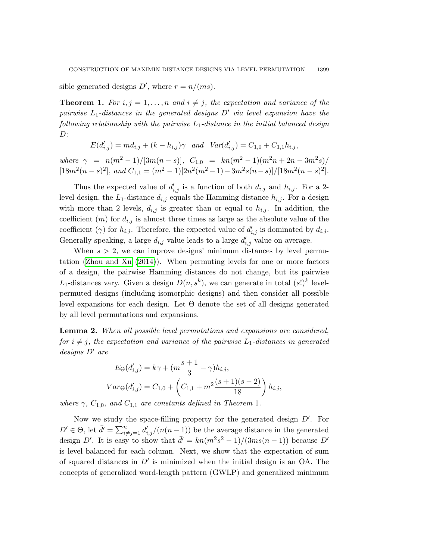sible generated designs  $D'$ , where  $r = n/(ms)$ .

**Theorem 1.** For  $i, j = 1, \ldots, n$  and  $i \neq j$ , the expectation and variance of the pairwise  $L_1$ -distances in the generated designs  $D'$  via level expansion have the following relationship with the pairwise  $L_1$ -distance in the initial balanced design  $D$ :

$$
E(d'_{i,j}) = m d_{i,j} + (k - h_{i,j})\gamma \quad and \quad Var(d'_{i,j}) = C_{1,0} + C_{1,1} h_{i,j},
$$

where  $\gamma = n(m^2-1)/[3m(n-s)], C_{1,0} = kn(m^2-1)(m^2n+2n-3m^2s)/$  $[18m^2(n-s)^2]$ , and  $C_{1,1} = (m^2-1)[2n^2(m^2-1)-3m^2s(n-s)]/[18m^2(n-s)^2]$ .

Thus the expected value of  $d'_{i,j}$  is a function of both  $d_{i,j}$  and  $h_{i,j}$ . For a 2level design, the  $L_1$ -distance  $d_{i,j}$  equals the Hamming distance  $h_{i,j}$ . For a design with more than 2 levels,  $d_{i,j}$  is greater than or equal to  $h_{i,j}$ . In addition, the coefficient  $(m)$  for  $d_{i,j}$  is almost three times as large as the absolute value of the coefficient ( $\gamma$ ) for  $h_{i,j}$ . Therefore, the expected value of  $d'_{i,j}$  is dominated by  $d_{i,j}$ . Generally speaking, a large  $d_{i,j}$  value leads to a large  $d'_{i,j}$  value on average.

When  $s > 2$ , we can improve designs' minimum distances by level permutation [\(Zhou and Xu](#page-19-9) [\(2014\)](#page-19-9)). When permuting levels for one or more factors of a design, the pairwise Hamming distances do not change, but its pairwise  $L_1$ -distances vary. Given a design  $D(n, s^k)$ , we can generate in total  $(s!)^k$  levelpermuted designs (including isomorphic designs) and then consider all possible level expansions for each design. Let Θ denote the set of all designs generated by all level permutations and expansions.

Lemma 2. When all possible level permutations and expansions are considered, for  $i \neq j$ , the expectation and variance of the pairwise  $L_1$ -distances in generated  $designs$  D' are

$$
E_{\Theta}(d'_{i,j}) = k\gamma + (m\frac{s+1}{3} - \gamma)h_{i,j},
$$
  

$$
Var_{\Theta}(d'_{i,j}) = C_{1,0} + \left(C_{1,1} + m^2\frac{(s+1)(s-2)}{18}\right)h_{i,j},
$$

where  $\gamma$ ,  $C_{1,0}$ , and  $C_{1,1}$  are constants defined in Theorem 1.

Now we study the space-filling property for the generated design  $D'$ . For  $D' \in \Theta$ , let  $\bar{d}' = \sum_{i \neq j=1}^n d'_{i,j}/(n(n-1))$  be the average distance in the generated design D'. It is easy to show that  $\bar{d} = kn(m^2s^2 - 1)/(3ms(n-1))$  because D' is level balanced for each column. Next, we show that the expectation of sum of squared distances in  $D'$  is minimized when the initial design is an OA. The concepts of generalized word-length pattern (GWLP) and generalized minimum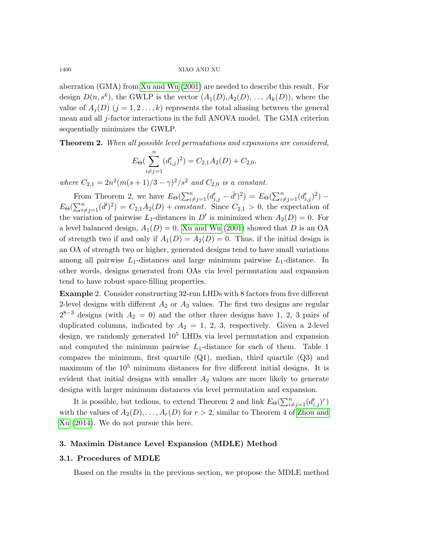aberration (GMA) from [Xu and Wu](#page-19-10) [\(2001\)](#page-19-10) are needed to describe this result. For design  $D(n, s^k)$ , the GWLP is the vector  $(A_1(D), A_2(D), \ldots, A_k(D))$ , where the value of  $A_i(D)$   $(j = 1, 2, \ldots, k)$  represents the total aliasing between the general mean and all j-factor interactions in the full ANOVA model. The GMA criterion sequentially minimizes the GWLP.

Theorem 2. When all possible level permutations and expansions are considered,

$$
E_{\Theta}(\sum_{i \neq j=1}^{n} (d'_{i,j})^2) = C_{2,1}A_2(D) + C_{2,0},
$$

where  $C_{2,1} = 2n^2(m(s+1)/3 - \gamma)^2/s^2$  and  $C_{2,0}$  is a constant.

From Theorem 2, we have  $E_{\Theta}(\sum_{i \neq j=1}^n (d'_{i,j} - \bar{d}')^2) = E_{\Theta}(\sum_{i \neq j=1}^n (d'_{i,j})^2)$  –  $E_{\Theta}(\sum_{i\neq j=1}^n (\bar{d}')^2) = C_{2,1}A_2(D) + constant.$  Since  $C_{2,1} > 0$ , the expectation of the variation of pairwise  $L_1$ -distances in  $D'$  is minimized when  $A_2(D) = 0$ . For a level balanced design,  $A_1(D) = 0$ . [Xu and Wu](#page-19-10) [\(2001\)](#page-19-10) showed that D is an OA of strength two if and only if  $A_1(D) = A_2(D) = 0$ . Thus, if the initial design is an OA of strength two or higher, generated designs tend to have small variations among all pairwise  $L_1$ -distances and large minimum pairwise  $L_1$ -distance. In other words, designs generated from OAs via level permutation and expansion tend to have robust space-filling properties.

Example 2. Consider constructing 32-run LHDs with 8 factors from five different 2-level designs with different  $A_2$  or  $A_3$  values. The first two designs are regular  $2^{8-3}$  designs (with  $A_2 = 0$ ) and the other three designs have 1, 2, 3 pairs of duplicated columns, indicated by  $A_2 = 1, 2, 3$ , respectively. Given a 2-level design, we randomly generated  $10^5$  LHDs via level permutation and expansion and computed the minimum pairwise  $L_1$ -distance for each of them. Table 1 compares the minimum, first quartile  $(Q1)$ , median, third quartile  $(Q3)$  and maximum of the  $10<sup>5</sup>$  minimum distances for five different initial designs. It is evident that initial designs with smaller  $A_2$  values are more likely to generate designs with larger minimum distances via level permutation and expansion.

It is possible, but tedious, to extend Theorem 2 and link  $E_{\Theta}(\sum_{i \neq j=1}^{n} (d'_{i,j})^r)$ with the values of  $A_2(D), \ldots, A_r(D)$  for  $r > 2$ , similar to Theorem 4 of [Zhou and](#page-19-9) [Xu](#page-19-9) [\(2014\)](#page-19-9). We do not pursue this here.

#### 3. Maximin Distance Level Expansion (MDLE) Method

## 3.1. Procedures of MDLE

Based on the results in the previous section, we propose the MDLE method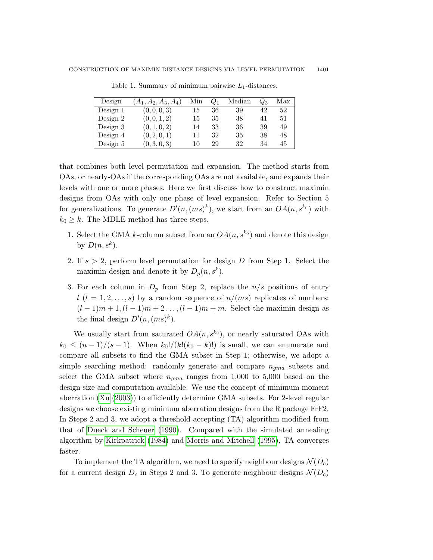| Design   | $(A_1, A_2, A_3, A_4)$ | Min |    | Median | $Q_3$ | Max |
|----------|------------------------|-----|----|--------|-------|-----|
| Design 1 | (0, 0, 0, 3)           | 15  | 36 | 39     | 42    | 52  |
| Design 2 | (0, 0, 1, 2)           | 15  | 35 | 38     | 41    | 51  |
| Design 3 | (0, 1, 0, 2)           | 14  | 33 | 36     | 39    | 49  |
| Design 4 | (0, 2, 0, 1)           | 11  | 32 | 35     | 38    | 48  |
| Design 5 | (0, 3, 0, 3)           | 10  | 29 | 32     | 34    | 45  |

Table 1. Summary of minimum pairwise  $L_1$ -distances.

that combines both level permutation and expansion. The method starts from OAs, or nearly-OAs if the corresponding OAs are not available, and expands their levels with one or more phases. Here we first discuss how to construct maximin designs from OAs with only one phase of level expansion. Refer to Section 5 for generalizations. To generate  $D'(n,(ms)^k)$ , we start from an  $OA(n, s^{k_0})$  with  $k_0 \geq k$ . The MDLE method has three steps.

- 1. Select the GMA k-column subset from an  $OA(n, s^{k_0})$  and denote this design by  $D(n, s^k)$ .
- 2. If  $s > 2$ , perform level permutation for design D from Step 1. Select the maximin design and denote it by  $D_p(n, s^k)$ .
- 3. For each column in  $D_p$  from Step 2, replace the  $n/s$  positions of entry  $l (l = 1, 2, \ldots, s)$  by a random sequence of  $n/(ms)$  replicates of numbers:  $(l-1)m+1$ ,  $(l-1)m+2...$ ,  $(l-1)m+m$ . Select the maximin design as the final design  $D'(n,(ms)^k)$ .

We usually start from saturated  $OA(n, s^{k_0})$ , or nearly saturated OAs with  $k_0 \leq (n-1)/(s-1)$ . When  $k_0!/(k!(k_0-k)!)$  is small, we can enumerate and compare all subsets to find the GMA subset in Step 1; otherwise, we adopt a simple searching method: randomly generate and compare  $n_{qma}$  subsets and select the GMA subset where  $n_{qma}$  ranges from 1,000 to 5,000 based on the design size and computation available. We use the concept of minimum moment aberration [\(Xu](#page-19-11) [\(2003\)](#page-19-11)) to efficiently determine GMA subsets. For 2-level regular designs we choose existing minimum aberration designs from the R package FrF2. In Steps 2 and 3, we adopt a threshold accepting (TA) algorithm modified from that of [Dueck and Scheuer](#page-18-9) [\(1990\)](#page-18-9). Compared with the simulated annealing algorithm by [Kirkpatrick](#page-18-10) [\(1984\)](#page-18-10) and [Morris and Mitchell](#page-19-5) [\(1995\)](#page-19-5), TA converges faster.

To implement the TA algorithm, we need to specify neighbour designs  $\mathcal{N}(D_c)$ for a current design  $D_c$  in Steps 2 and 3. To generate neighbour designs  $\mathcal{N}(D_c)$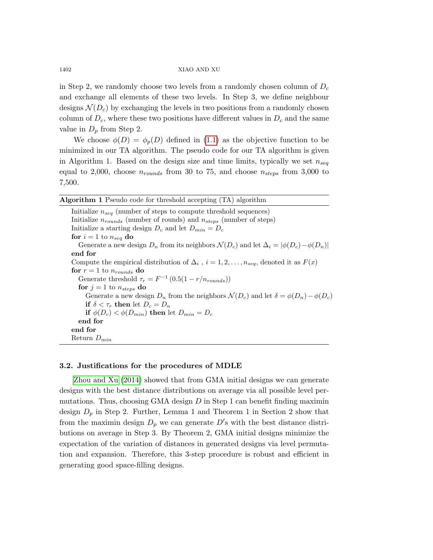in Step 2, we randomly choose two levels from a randomly chosen column of  $D_c$ and exchange all elements of these two levels. In Step 3, we define neighbour designs  $\mathcal{N}(D_c)$  by exchanging the levels in two positions from a randomly chosen column of  $D_c$ , where these two positions have different values in  $D_c$  and the same value in  $D_p$  from Step 2.

We choose  $\phi(D) = \phi_p(D)$  defined in [\(1.1\)](#page-1-0) as the objective function to be minimized in our TA algorithm. The pseudo code for our TA algorithm is given in Algorithm 1. Based on the design size and time limits, typically we set  $n_{seq}$ equal to 2,000, choose  $n_{rounds}$  from 30 to 75, and choose  $n_{steps}$  from 3,000 to 7,500.

| <b>Algorithm 1</b> Pseudo code for threshold accepting (TA) algorithm                                          |
|----------------------------------------------------------------------------------------------------------------|
| Initialize $n_{seq}$ (number of steps to compute threshold sequences)                                          |
| Initialize $n_{rounds}$ (number of rounds) and $n_{steps}$ (number of steps)                                   |
| Initialize a starting design $D_c$ and let $D_{min} = D_c$                                                     |
| for $i=1$ to $n_{seq}$ do                                                                                      |
| Generate a new design $D_n$ from its neighbors $\mathcal{N}(D_c)$ and let $\Delta_i =  \phi(D_c) - \phi(D_n) $ |
| end for                                                                                                        |
| Compute the empirical distribution of $\Delta_i$ , $i = 1, 2, , n_{seq}$ , denoted it as $F(x)$                |
| for $r = 1$ to $n_{rounds}$ do                                                                                 |
| Generate threshold $\tau_r = F^{-1} (0.5(1 - r/n_{rounds}))$                                                   |
| for $j = 1$ to $n_{steps}$ do                                                                                  |
| Generate a new design $D_n$ from the neighbors $\mathcal{N}(D_c)$ and let $\delta = \phi(D_n) - \phi(D_c)$     |
| if $\delta < \tau_r$ then let $D_c = D_n$                                                                      |
| if $\phi(D_c) < \phi(D_{min})$ then let $D_{min} = D_c$                                                        |
| end for                                                                                                        |
| end for                                                                                                        |
| Return $D_{min}$                                                                                               |

## 3.2. Justifications for the procedures of MDLE

[Zhou and Xu](#page-19-9) [\(2014\)](#page-19-9) showed that from GMA initial designs we can generate designs with the best distance distributions on average via all possible level permutations. Thus, choosing GMA design  $D$  in Step 1 can benefit finding maximin design  $D_p$  in Step 2. Further, Lemma 1 and Theorem 1 in Section 2 show that from the maximin design  $D_p$  we can generate  $D$ 's with the best distance distributions on average in Step 3. By Theorem 2, GMA initial designs minimize the expectation of the variation of distances in generated designs via level permutation and expansion. Therefore, this 3-step procedure is robust and efficient in generating good space-filling designs.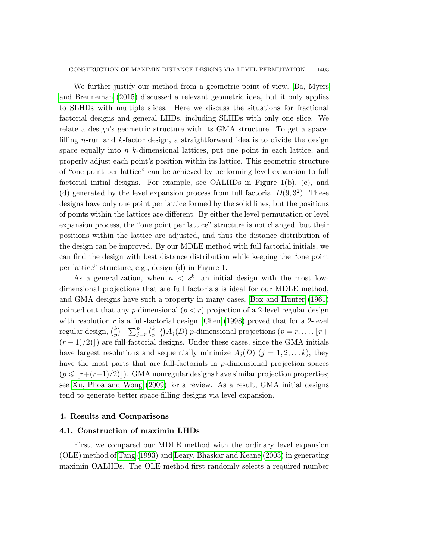We further justify our method from a geometric point of view. [Ba, Myers](#page-18-6) [and Brenneman](#page-18-6) [\(2015\)](#page-18-6) discussed a relevant geometric idea, but it only applies to SLHDs with multiple slices. Here we discuss the situations for fractional factorial designs and general LHDs, including SLHDs with only one slice. We relate a design's geometric structure with its GMA structure. To get a spacefilling n-run and  $k$ -factor design, a straightforward idea is to divide the design space equally into  $n$  k-dimensional lattices, put one point in each lattice, and properly adjust each point's position within its lattice. This geometric structure of "one point per lattice" can be achieved by performing level expansion to full factorial initial designs. For example, see OALHDs in Figure 1(b), (c), and (d) generated by the level expansion process from full factorial  $D(9, 3^2)$ . These designs have only one point per lattice formed by the solid lines, but the positions of points within the lattices are different. By either the level permutation or level expansion process, the "one point per lattice" structure is not changed, but their positions within the lattice are adjusted, and thus the distance distribution of the design can be improved. By our MDLE method with full factorial initials, we can find the design with best distance distribution while keeping the "one point per lattice" structure, e.g., design (d) in Figure 1.

As a generalization, when  $n < s^k$ , an initial design with the most lowdimensional projections that are full factorials is ideal for our MDLE method, and GMA designs have such a property in many cases. [Box and Hunter](#page-18-11) [\(1961\)](#page-18-11) pointed out that any p-dimensional  $(p < r)$  projection of a 2-level regular design with resolution  $r$  is a full-factorial design. [Chen](#page-18-12) [\(1998\)](#page-18-12) proved that for a 2-level regular design,  $\binom{k}{n}$  $\binom{k}{p} - \sum_{j=r}^{p} \binom{k-j}{p-j}$  $p_{p-j}^{(k-j)}$  A<sub>j</sub>(D) p-dimensional projections (p = r, ..., [r +  $(r-1)/2$ ) are full-factorial designs. Under these cases, since the GMA initials have largest resolutions and sequentially minimize  $A_j(D)$   $(j = 1, 2, \ldots k)$ , they have the most parts that are full-factorials in p-dimensional projection spaces  $(p \leqslant |r+(r-1)/2)|$ . GMA nonregular designs have similar projection properties; see [Xu, Phoa and Wong](#page-19-12) [\(2009\)](#page-19-12) for a review. As a result, GMA initial designs tend to generate better space-filling designs via level expansion.

## 4. Results and Comparisons

#### 4.1. Construction of maximin LHDs

First, we compared our MDLE method with the ordinary level expansion (OLE) method of [Tang](#page-19-6) [\(1993\)](#page-19-6) and [Leary, Bhaskar and Keane](#page-18-8) [\(2003\)](#page-18-8) in generating maximin OALHDs. The OLE method first randomly selects a required number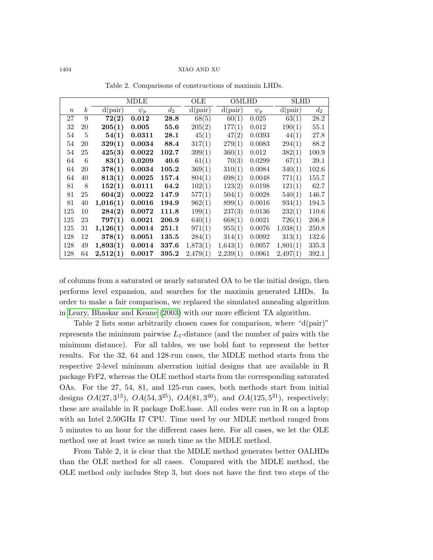|          |                  | MDLE       |          | OLE   | OMLHD      |          | SLHD     |            |       |
|----------|------------------|------------|----------|-------|------------|----------|----------|------------|-------|
| $\it{n}$ | $\boldsymbol{k}$ | $d$ (pair) | $\psi_p$ | $d_2$ | $d$ (pair) | d(pair)  | $\psi_p$ | $d$ (pair) | $d_2$ |
| 27       | 9                | 72(2)      | 0.012    | 28.8  | 68(5)      | 60(1)    | 0.025    | 63(1)      | 28.2  |
| 32       | 20               | 205(1)     | 0.005    | 55.6  | 205(2)     | 177(1)   | 0.012    | 190(1)     | 55.1  |
| 54       | 5                | 54(1)      | 0.0311   | 28.1  | 45(1)      | 47(2)    | 0.0393   | 44(1)      | 27.8  |
| 54       | 20               | 329(1)     | 0.0034   | 88.4  | 317(1)     | 279(1)   | 0.0083   | 294(1)     | 88.2  |
| 54       | 25               | 425(3)     | 0.0022   | 102.7 | 399(1)     | 360(1)   | 0.012    | 382(1)     | 100.9 |
| 64       | 6                | 83(1)      | 0.0209   | 40.6  | 61(1)      | 70(3)    | 0.0299   | 67(1)      | 39.1  |
| 64       | 20               | 378(1)     | 0.0034   | 105.2 | 369(1)     | 310(1)   | 0.0084   | 340(1)     | 102.6 |
| 64       | 40               | 813(1)     | 0.0025   | 157.4 | 804(1)     | 698(1)   | 0.0048   | 771(1)     | 155.7 |
| 81       | 8                | 152(1)     | 0.0111   | 64.2  | 102(1)     | 123(2)   | 0.0198   | 121(1)     | 62.7  |
| 81       | 25               | 604(2)     | 0.0022   | 147.9 | 577(1)     | 504(1)   | 0.0028   | 540(1)     | 146.7 |
| 81       | 40               | 1,016(1)   | 0.0016   | 194.9 | 962(1)     | 899(1)   | 0.0016   | 934(1)     | 194.5 |
| 125      | 10               | 284(2)     | 0.0072   | 111.8 | 199(1)     | 237(3)   | 0.0136   | 232(1)     | 110.6 |
| 125      | 23               | 797(1)     | 0.0021   | 206.9 | 640(1)     | 668(1)   | 0.0021   | 726(1)     | 206.8 |
| 125      | 31               | 1,126(1)   | 0.0014   | 251.1 | 971(1)     | 955(1)   | 0.0076   | 1,038(1)   | 250.8 |
| 128      | 12               | 378(1)     | 0.0051   | 135.5 | 284(1)     | 314(1)   | 0.0092   | 313(1)     | 132.6 |
| 128      | 49               | 1,893(1)   | 0.0014   | 337.6 | 1,873(1)   | 1,643(1) | 0.0057   | 1,801(1)   | 335.3 |
| 128      | 64               | 2,512(1)   | 0.0017   | 395.2 | 2,479(1)   | 2,239(1) | 0.0061   | 2,497(1)   | 392.1 |

Table 2. Comparisons of constructions of maximin LHDs.

of columns from a saturated or nearly saturated OA to be the initial design, then performs level expansion, and searches for the maximin generated LHDs. In order to make a fair comparison, we replaced the simulated annealing algorithm in [Leary, Bhaskar and Keane](#page-18-8) [\(2003\)](#page-18-8) with our more efficient TA algorithm.

Table 2 lists some arbitrarily chosen cases for comparison, where "d(pair)" represents the minimum pairwise  $L_1$ -distance (and the number of pairs with the minimum distance). For all tables, we use bold font to represent the better results. For the 32, 64 and 128-run cases, the MDLE method starts from the respective 2-level minimum aberration initial designs that are available in R package FrF2, whereas the OLE method starts from the corresponding saturated OAs. For the 27, 54, 81, and 125-run cases, both methods start from initial designs  $OA(27, 3^{13})$ ,  $OA(54, 3^{25})$ ,  $OA(81, 3^{40})$ , and  $OA(125, 5^{31})$ , respectively; these are available in R package DoE.base. All codes were run in R on a laptop with an Intel 2.50GHz I7 CPU. Time used by our MDLE method ranged from 5 minutes to an hour for the different cases here. For all cases, we let the OLE method use at least twice as much time as the MDLE method.

From Table 2, it is clear that the MDLE method generates better OALHDs than the OLE method for all cases. Compared with the MDLE method, the OLE method only includes Step 3, but does not have the first two steps of the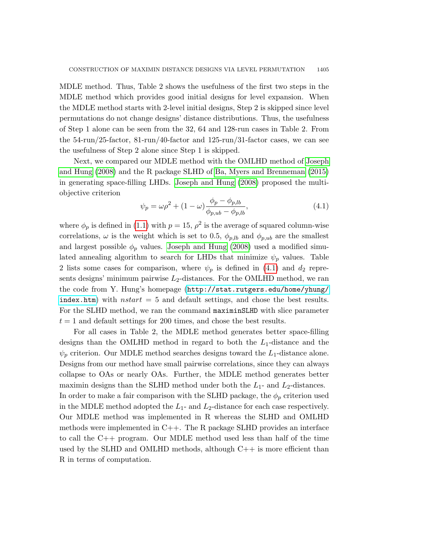MDLE method. Thus, Table 2 shows the usefulness of the first two steps in the MDLE method which provides good initial designs for level expansion. When the MDLE method starts with 2-level initial designs, Step 2 is skipped since level permutations do not change designs' distance distributions. Thus, the usefulness of Step 1 alone can be seen from the 32, 64 and 128-run cases in Table 2. From the 54-run/25-factor, 81-run/40-factor and 125-run/31-factor cases, we can see the usefulness of Step 2 alone since Step 1 is skipped.

Next, we compared our MDLE method with the OMLHD method of [Joseph](#page-18-5) [and Hung](#page-18-5) [\(2008\)](#page-18-5) and the R package SLHD of [Ba, Myers and Brenneman](#page-18-6) [\(2015\)](#page-18-6) in generating space-filling LHDs. [Joseph and Hung](#page-18-5) [\(2008\)](#page-18-5) proposed the multiobjective criterion

<span id="page-10-0"></span>
$$
\psi_p = \omega \rho^2 + (1 - \omega) \frac{\phi_p - \phi_{p, lb}}{\phi_{p, ub} - \phi_{p, lb}},
$$
\n(4.1)

where  $\phi_p$  is defined in [\(1.1\)](#page-1-0) with  $p = 15$ ,  $\rho^2$  is the average of squared column-wise correlations,  $\omega$  is the weight which is set to 0.5,  $\phi_{p,lb}$  and  $\phi_{p,ub}$  are the smallest and largest possible  $\phi_p$  values. [Joseph and Hung](#page-18-5) [\(2008\)](#page-18-5) used a modified simulated annealing algorithm to search for LHDs that minimize  $\psi_p$  values. Table 2 lists some cases for comparison, where  $\psi_p$  is defined in [\(4.1\)](#page-10-0) and  $d_2$  represents designs' minimum pairwise  $L_2$ -distances. For the OMLHD method, we ran the code from Y. Hung's homepage ([http://stat.rutgers.edu/home/yhung/](http://stat.rutgers.edu/home/yhung/index.htm) [index.htm](http://stat.rutgers.edu/home/yhung/index.htm)) with nstart  $= 5$  and default settings, and chose the best results. For the SLHD method, we ran the command maximinSLHD with slice parameter  $t = 1$  and default settings for 200 times, and chose the best results.

For all cases in Table 2, the MDLE method generates better space-filling designs than the OMLHD method in regard to both the  $L_1$ -distance and the  $\psi_p$  criterion. Our MDLE method searches designs toward the  $L_1$ -distance alone. Designs from our method have small pairwise correlations, since they can always collapse to OAs or nearly OAs. Further, the MDLE method generates better maximin designs than the SLHD method under both the  $L_1$ - and  $L_2$ -distances. In order to make a fair comparison with the SLHD package, the  $\phi_p$  criterion used in the MDLE method adopted the  $L_1$ - and  $L_2$ -distance for each case respectively. Our MDLE method was implemented in R whereas the SLHD and OMLHD methods were implemented in C++. The R package SLHD provides an interface to call the C++ program. Our MDLE method used less than half of the time used by the SLHD and OMLHD methods, although  $C++$  is more efficient than R in terms of computation.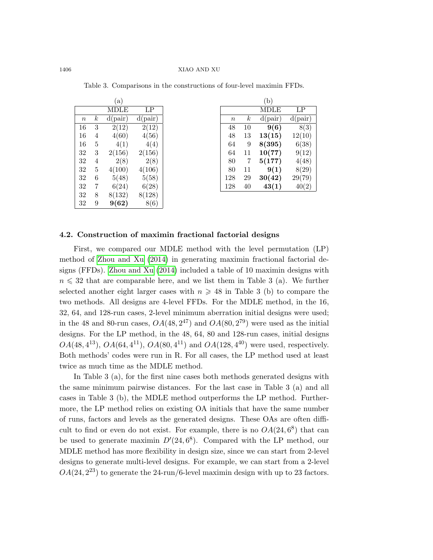|          |   | (a)        |                    |
|----------|---|------------|--------------------|
|          |   | MDLE       | LP                 |
| $\it{n}$ | k | $d$ (pair) | $d$ (pair)         |
| 16       | 3 | 2(12)      | $\overline{2(12)}$ |
| 16       | 4 | 4(60)      | 4(56)              |
| 16       | 5 | 4(1)       | 4(4)               |
| 32       | 3 | 2(156)     | 2(156)             |
| 32       | 4 | 2(8)       | 2(8)               |
| 32       | 5 | 4(100)     | 4(106)             |
| 32       | 6 | 5(48)      | 5(58)              |
| 32       | 7 | 6(24)      | 6(28)              |
| 32       | 8 | 8(132)     | 8(128)             |
| 32       | 9 | 9(62)      | 8(6)               |

|     |    | (b)        |                   |
|-----|----|------------|-------------------|
|     |    | MDLE       | LP                |
| n   | k  | $d$ (pair) | $d$ (pair)        |
| 48  | 10 | 9(6)       | $\overline{8(3)}$ |
| 48  | 13 | 13(15)     | 12(10)            |
| 64  | 9  | 8(395)     | 6(38)             |
| 64  | 11 | 10(77)     | 9(12)             |
| 80  | 7  | 5(177)     | 4(48)             |
| 80  | 11 | 9(1)       | 8(29)             |
| 128 | 29 | 30(42)     | 29(79)            |
| 128 | 40 | 43(1)      | 40(2)             |

Table 3. Comparisons in the constructions of four-level maximin FFDs.

## 4.2. Construction of maximin fractional factorial designs

First, we compared our MDLE method with the level permutation (LP) method of [Zhou and Xu](#page-19-9) [\(2014\)](#page-19-9) in generating maximin fractional factorial designs (FFDs). [Zhou and Xu](#page-19-9) [\(2014\)](#page-19-9) included a table of 10 maximin designs with  $n \leq 32$  that are comparable here, and we list them in Table 3 (a). We further selected another eight larger cases with  $n \geq 48$  in Table 3 (b) to compare the two methods. All designs are 4-level FFDs. For the MDLE method, in the 16, 32, 64, and 128-run cases, 2-level minimum aberration initial designs were used; in the 48 and 80-run cases,  $OA(48, 2^{47})$  and  $OA(80, 2^{79})$  were used as the initial designs. For the LP method, in the 48, 64, 80 and 128-run cases, initial designs  $OA(48, 4^{13}), OA(64, 4^{11}), OA(80, 4^{11})$  and  $OA(128, 4^{40})$  were used, respectively. Both methods' codes were run in R. For all cases, the LP method used at least twice as much time as the MDLE method.

In Table 3 (a), for the first nine cases both methods generated designs with the same minimum pairwise distances. For the last case in Table 3 (a) and all cases in Table 3 (b), the MDLE method outperforms the LP method. Furthermore, the LP method relies on existing OA initials that have the same number of runs, factors and levels as the generated designs. These OAs are often difficult to find or even do not exist. For example, there is no  $OA(24, 6^8)$  that can be used to generate maximin  $D'(24, 6^8)$ . Compared with the LP method, our MDLE method has more flexibility in design size, since we can start from 2-level designs to generate multi-level designs. For example, we can start from a 2-level  $OA(24, 2^{23})$  to generate the 24-run/6-level maximin design with up to 23 factors.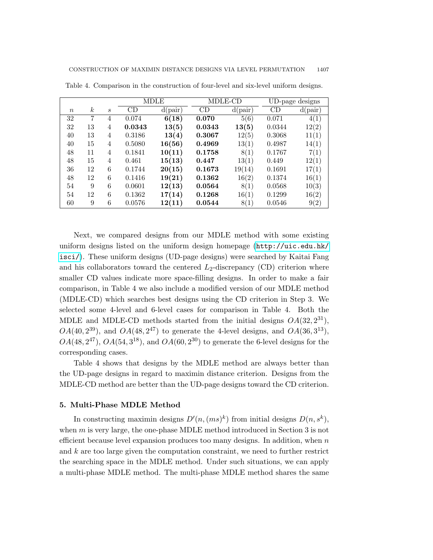|                  |                  |                  |        | <b>MDLE</b> | MDLE-CD |            | UD-page designs |            |
|------------------|------------------|------------------|--------|-------------|---------|------------|-----------------|------------|
| $\boldsymbol{n}$ | $\boldsymbol{k}$ | $\boldsymbol{s}$ | CD     | $d$ (pair)  | CD      | $d$ (pair) | CD              | $d$ (pair) |
| 32               | 7                | 4                | 0.074  | 6(18)       | 0.070   | 5(6)       | 0.071           | 4(1)       |
| 32               | 13               | 4                | 0.0343 | 13(5)       | 0.0343  | 13(5)      | 0.0344          | 12(2)      |
| 40               | 13               | 4                | 0.3186 | 13(4)       | 0.3067  | 12(5)      | 0.3068          | 11(1)      |
| 40               | 15               | 4                | 0.5080 | 16(56)      | 0.4969  | 13(1)      | 0.4987          | 14(1)      |
| 48               | 11               | 4                | 0.1841 | 10(11)      | 0.1758  | 8(1)       | 0.1767          | 7(1)       |
| 48               | 15               | 4                | 0.461  | 15(13)      | 0.447   | 13(1)      | 0.449           | 12(1)      |
| 36               | 12               | 6                | 0.1744 | 20(15)      | 0.1673  | 19(14)     | 0.1691          | 17(1)      |
| 48               | 12               | 6                | 0.1416 | 19(21)      | 0.1362  | 16(2)      | 0.1374          | 16(1)      |
| 54               | 9                | 6                | 0.0601 | 12(13)      | 0.0564  | 8(1)       | 0.0568          | 10(3)      |
| 54               | 12               | 6                | 0.1362 | 17(14)      | 0.1268  | 16(1)      | 0.1299          | 16(2)      |
| 60               | 9                | 6                | 0.0576 | 12(11)      | 0.0544  | 8(1)       | 0.0546          | 9(2)       |

Table 4. Comparison in the construction of four-level and six-level uniform designs.

Next, we compared designs from our MDLE method with some existing uniform designs listed on the uniform design homepage ([http://uic.edu.hk/](http://uic.edu.hk/isci/) [isci/](http://uic.edu.hk/isci/)). These uniform designs (UD-page designs) were searched by Kaitai Fang and his collaborators toward the centered  $L_2$ -discrepancy (CD) criterion where smaller CD values indicate more space-filling designs. In order to make a fair comparison, in Table 4 we also include a modified version of our MDLE method (MDLE-CD) which searches best designs using the CD criterion in Step 3. We selected some 4-level and 6-level cases for comparison in Table 4. Both the MDLE and MDLE-CD methods started from the initial designs  $OA(32, 2^{31})$ ,  $OA(40, 2^{39})$ , and  $OA(48, 2^{47})$  to generate the 4-level designs, and  $OA(36, 3^{13})$ ,  $OA(48, 2^{47})$ ,  $OA(54, 3^{18})$ , and  $OA(60, 2^{30})$  to generate the 6-level designs for the corresponding cases.

Table 4 shows that designs by the MDLE method are always better than the UD-page designs in regard to maximin distance criterion. Designs from the MDLE-CD method are better than the UD-page designs toward the CD criterion.

#### 5. Multi-Phase MDLE Method

In constructing maximin designs  $D'(n,(ms)^k)$  from initial designs  $D(n, s^k)$ , when  $m$  is very large, the one-phase MDLE method introduced in Section 3 is not efficient because level expansion produces too many designs. In addition, when  $n$ and  $k$  are too large given the computation constraint, we need to further restrict the searching space in the MDLE method. Under such situations, we can apply a multi-phase MDLE method. The multi-phase MDLE method shares the same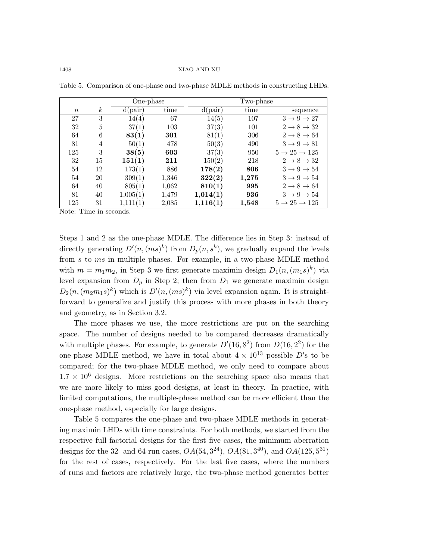|             |                  | One-phase  |       |            | Two-phase |                                    |
|-------------|------------------|------------|-------|------------|-----------|------------------------------------|
| $n_{\rm c}$ | $\boldsymbol{k}$ | $d$ (pair) | time  | $d$ (pair) | time      | sequence                           |
| 27          | 3                | 14(4)      | 67    | 14(5)      | 107       | $3 \rightarrow 9 \rightarrow 27$   |
| 32          | 5                | 37(1)      | 103   | 37(3)      | 101       | $2 \rightarrow 8 \rightarrow 32$   |
| 64          | 6                | 83(1)      | 301   | 81(1)      | 306       | $2 \rightarrow 8 \rightarrow 64$   |
| 81          | 4                | 50(1)      | 478   | 50(3)      | 490       | $3 \rightarrow 9 \rightarrow 81$   |
| 125         | 3                | 38(5)      | 603   | 37(3)      | 950       | $5 \rightarrow 25 \rightarrow 125$ |
| 32          | 15               | 151(1)     | 211   | 150(2)     | 218       | $2 \rightarrow 8 \rightarrow 32$   |
| 54          | 12               | 173(1)     | 886   | 178(2)     | 806       | $3 \rightarrow 9 \rightarrow 54$   |
| 54          | 20               | 309(1)     | 1,346 | 322(2)     | 1,275     | $3 \rightarrow 9 \rightarrow 54$   |
| 64          | 40               | 805(1)     | 1,062 | 810(1)     | 995       | $2 \rightarrow 8 \rightarrow 64$   |
| 81          | 40               | 1,005(1)   | 1,479 | 1,014(1)   | 936       | $3 \rightarrow 9 \rightarrow 54$   |
| 125         | 31               | 1,111(1)   | 2,085 | 1,116(1)   | 1,548     | $5 \rightarrow 25 \rightarrow 125$ |

Table 5. Comparison of one-phase and two-phase MDLE methods in constructing LHDs.

Note: Time in seconds.

Steps 1 and 2 as the one-phase MDLE. The difference lies in Step 3: instead of directly generating  $D'(n,(ms)^k)$  from  $D_p(n,s^k)$ , we gradually expand the levels from s to ms in multiple phases. For example, in a two-phase MDLE method with  $m = m_1 m_2$ , in Step 3 we first generate maximin design  $D_1(n, (m_1 s)^k)$  via level expansion from  $D_p$  in Step 2; then from  $D_1$  we generate maximin design  $D_2(n,(m_2m_1s)^k)$  which is  $D'(n,(ms)^k)$  via level expansion again. It is straightforward to generalize and justify this process with more phases in both theory and geometry, as in Section 3.2.

The more phases we use, the more restrictions are put on the searching space. The number of designs needed to be compared decreases dramatically with multiple phases. For example, to generate  $D'(16, 8^2)$  from  $D(16, 2^2)$  for the one-phase MDLE method, we have in total about  $4 \times 10^{13}$  possible D's to be compared; for the two-phase MDLE method, we only need to compare about  $1.7 \times 10^6$  designs. More restrictions on the searching space also means that we are more likely to miss good designs, at least in theory. In practice, with limited computations, the multiple-phase method can be more efficient than the one-phase method, especially for large designs.

Table 5 compares the one-phase and two-phase MDLE methods in generating maximin LHDs with time constraints. For both methods, we started from the respective full factorial designs for the first five cases, the minimum aberration designs for the 32- and 64-run cases,  $OA(54, 3^{24})$ ,  $OA(81, 3^{40})$ , and  $OA(125, 5^{31})$ for the rest of cases, respectively. For the last five cases, where the numbers of runs and factors are relatively large, the two-phase method generates better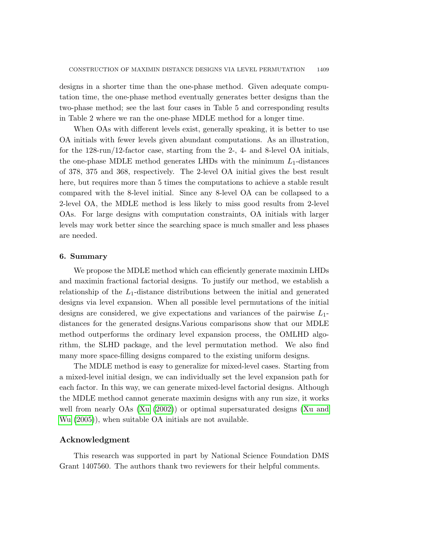designs in a shorter time than the one-phase method. Given adequate computation time, the one-phase method eventually generates better designs than the two-phase method; see the last four cases in Table 5 and corresponding results in Table 2 where we ran the one-phase MDLE method for a longer time.

When OAs with different levels exist, generally speaking, it is better to use OA initials with fewer levels given abundant computations. As an illustration, for the 128-run/12-factor case, starting from the 2-, 4- and 8-level OA initials, the one-phase MDLE method generates LHDs with the minimum  $L_1$ -distances of 378, 375 and 368, respectively. The 2-level OA initial gives the best result here, but requires more than 5 times the computations to achieve a stable result compared with the 8-level initial. Since any 8-level OA can be collapsed to a 2-level OA, the MDLE method is less likely to miss good results from 2-level OAs. For large designs with computation constraints, OA initials with larger levels may work better since the searching space is much smaller and less phases are needed.

## 6. Summary

We propose the MDLE method which can efficiently generate maximin LHDs and maximin fractional factorial designs. To justify our method, we establish a relationship of the  $L_1$ -distance distributions between the initial and generated designs via level expansion. When all possible level permutations of the initial designs are considered, we give expectations and variances of the pairwise  $L_1$ distances for the generated designs.Various comparisons show that our MDLE method outperforms the ordinary level expansion process, the OMLHD algorithm, the SLHD package, and the level permutation method. We also find many more space-filling designs compared to the existing uniform designs.

The MDLE method is easy to generalize for mixed-level cases. Starting from a mixed-level initial design, we can individually set the level expansion path for each factor. In this way, we can generate mixed-level factorial designs. Although the MDLE method cannot generate maximin designs with any run size, it works well from nearly OAs [\(Xu](#page-19-13) [\(2002\)](#page-19-13)) or optimal supersaturated designs [\(Xu and](#page-19-14) [Wu](#page-19-14) [\(2005\)](#page-19-14)), when suitable OA initials are not available.

## Acknowledgment

This research was supported in part by National Science Foundation DMS Grant 1407560. The authors thank two reviewers for their helpful comments.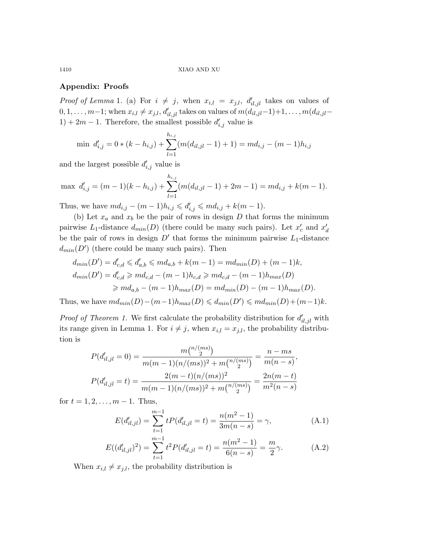# Appendix: Proofs

*Proof of Lemma* 1. (a) For  $i \neq j$ , when  $x_{i,l} = x_{j,l}$ ,  $d'_{il,jl}$  takes on values of  $0, 1, \ldots, m-1$ ; when  $x_{i,l} \neq x_{j,l}$ ,  $d'_{il,jl}$  takes on values of  $m(d_{il,jl}-1)+1, \ldots, m(d_{il,jl}-1)$  $1) + 2m - 1$ . Therefore, the smallest possible  $d'_{i,j}$  value is

$$
\min d'_{i,j} = 0 * (k - h_{i,j}) + \sum_{l=1}^{h_{i,j}} (m(d_{il,jl} - 1) + 1) = md_{i,j} - (m - 1)h_{i,j}
$$

and the largest possible  $d'_{i,j}$  value is

$$
\max d'_{i,j} = (m-1)(k - h_{i,j}) + \sum_{l=1}^{h_{i,j}} (m(d_{il,jl} - 1) + 2m - 1) = md_{i,j} + k(m - 1).
$$

Thus, we have  $m d_{i,j} - (m-1)h_{i,j} \leqslant d'_{i,j} \leqslant m d_{i,j} + k(m-1)$ .

(b) Let  $x_a$  and  $x_b$  be the pair of rows in design D that forms the minimum pairwise  $L_1$ -distance  $d_{min}(D)$  (there could be many such pairs). Let  $x'_c$  and  $x'_d$ be the pair of rows in design  $D'$  that forms the minimum pairwise  $L_1$ -distance  $d_{min}(D')$  (there could be many such pairs). Then

$$
d_{min}(D') = d'_{c,d} \leq d'_{a,b} \leq m d_{a,b} + k(m-1) = m d_{min}(D) + (m-1)k,
$$
  
\n
$$
d_{min}(D') = d'_{c,d} \geq m d_{c,d} - (m-1)h_{c,d} \geq m d_{c,d} - (m-1)h_{max}(D)
$$
  
\n
$$
\geq m d_{a,b} - (m-1)h_{max}(D) = m d_{min}(D) - (m-1)h_{max}(D).
$$

Thus, we have  $md_{min}(D)-(m-1)h_{max}(D) \leq d_{min}(D') \leq m d_{min}(D)+(m-1)k$ .

*Proof of Theorem 1.* We first calculate the probability distribution for  $d'_{il,jl}$  with its range given in Lemma 1. For  $i \neq j$ , when  $x_{i,l} = x_{j,l}$ , the probability distribution is

$$
P(d'_{il,jl} = 0) = \frac{m\binom{n/(ms)}{2}}{m(m-1)(n/(ms))^2 + m\binom{n/(ms)}{2}} = \frac{n - ms}{m(n - s)},
$$
  

$$
P(d'_{il,jl} = t) = \frac{2(m - t)(n/(ms))^2}{m(m-1)(n/(ms))^2 + m\binom{n/(ms)}{2}} = \frac{2n(m - t)}{m^2(n - s)}
$$

for  $t = 1, 2, ..., m - 1$ . Thus,

<span id="page-15-1"></span><span id="page-15-0"></span>
$$
E(d'_{il,jl}) = \sum_{t=1}^{m-1} tP(d'_{il,jl} = t) = \frac{n(m^2 - 1)}{3m(n - s)} = \gamma,
$$
 (A.1)

$$
E((d'_{il,jl})^2) = \sum_{t=1}^{m-1} t^2 P(d'_{il,jl} = t) = \frac{n(m^2 - 1)}{6(n - s)} = \frac{m}{2}\gamma.
$$
 (A.2)

When  $x_{i,l} \neq x_{j,l}$ , the probability distribution is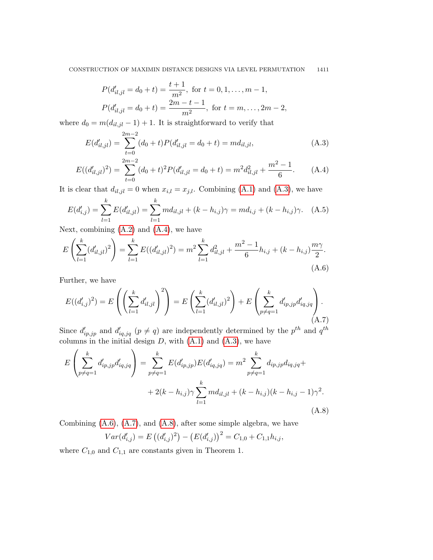<span id="page-16-1"></span><span id="page-16-0"></span>
$$
P(d'_{il,jl} = d_0 + t) = \frac{t+1}{m^2}, \text{ for } t = 0, 1, ..., m-1,
$$
  

$$
P(d'_{il,jl} = d_0 + t) = \frac{2m - t - 1}{m^2}, \text{ for } t = m, ..., 2m - 2,
$$

where  $d_0 = m(d_{il,jl} - 1) + 1$ . It is straightforward to verify that

$$
E(d'_{il,jl}) = \sum_{t=0}^{2m-2} (d_0 + t) P(d'_{il,jl} = d_0 + t) = m d_{il,jl},
$$
\n(A.3)

$$
E((d'_{il,jl})^2) = \sum_{t=0}^{2m-2} (d_0 + t)^2 P(d'_{il,jl} = d_0 + t) = m^2 d^2_{il,jl} + \frac{m^2 - 1}{6}.
$$
 (A.4)

It is clear that  $d_{il,jl} = 0$  when  $x_{i,l} = x_{j,l}$ . Combining [\(A.1\)](#page-15-0) and [\(A.3\)](#page-16-0), we have

$$
E(d'_{i,j}) = \sum_{l=1}^{k} E(d'_{il,jl}) = \sum_{l=1}^{k} md_{il,jl} + (k - h_{i,j})\gamma = md_{i,j} + (k - h_{i,j})\gamma.
$$
 (A.5)

Next, combining  $(A.2)$  and  $(A.4)$ , we have

<span id="page-16-2"></span>
$$
E\left(\sum_{l=1}^{k} (d'_{il,jl})^2\right) = \sum_{l=1}^{k} E((d'_{il,jl})^2) = m^2 \sum_{l=1}^{k} d^2_{il,jl} + \frac{m^2 - 1}{6} h_{i,j} + (k - h_{i,j}) \frac{m\gamma}{2}.
$$
\n(A.6)

Further, we have

<span id="page-16-3"></span>
$$
E((d'_{i,j})^2) = E\left(\left(\sum_{l=1}^k d'_{il,jl}\right)^2\right) = E\left(\sum_{l=1}^k (d'_{il,jl})^2\right) + E\left(\sum_{p \neq q=1}^k d'_{ip,jp} d'_{iq,jq}\right).
$$
\n(A.7)

Since  $d'_{ip,jp}$  and  $d'_{iq,jq}$   $(p \neq q)$  are independently determined by the  $p^{th}$  and  $q^{th}$ columns in the initial design  $D$ , with  $(A.1)$  and  $(A.3)$ , we have

$$
E\left(\sum_{p\neq q=1}^{k} d'_{ip,jp} d'_{iq,jq}\right) = \sum_{p\neq q=1}^{k} E(d'_{ip,jp}) E(d'_{iq,jq}) = m^2 \sum_{p\neq q=1}^{k} d_{ip,jp} d_{iq,jq} +
$$
  
+ 2(k - h\_{i,j})\gamma \sum\_{l=1}^{k} md\_{il,jl} + (k - h\_{i,j})(k - h\_{i,j} - 1)\gamma^2. (A.8)

Combining  $(A.6)$ ,  $(A.7)$ , and  $(A.8)$ , after some simple algebra, we have

<span id="page-16-4"></span>
$$
Var(d'_{i,j}) = E((d'_{i,j})^2) - (E(d'_{i,j}))^2 = C_{1,0} + C_{1,1}h_{i,j},
$$

where  $C_{1,0}$  and  $C_{1,1}$  are constants given in Theorem 1.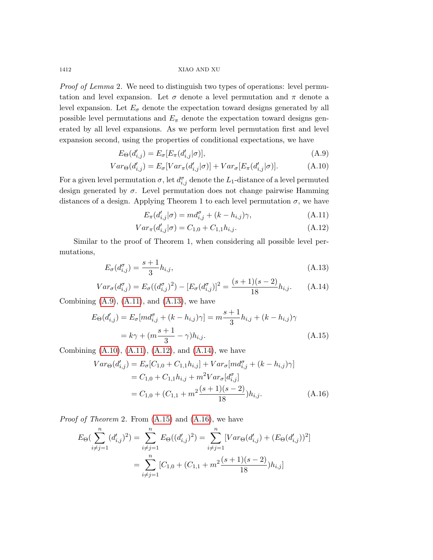Proof of Lemma 2. We need to distinguish two types of operations: level permutation and level expansion. Let  $\sigma$  denote a level permutation and  $\pi$  denote a level expansion. Let  $E_{\sigma}$  denote the expectation toward designs generated by all possible level permutations and  $E_{\pi}$  denote the expectation toward designs generated by all level expansions. As we perform level permutation first and level expansion second, using the properties of conditional expectations, we have

<span id="page-17-0"></span>
$$
E_{\Theta}(d'_{i,j}) = E_{\sigma}[E_{\pi}(d'_{i,j}|\sigma)],\tag{A.9}
$$

$$
Var_{\Theta}(d'_{i,j}) = E_{\sigma}[Var_{\pi}(d'_{i,j}|\sigma)] + Var_{\sigma}[E_{\pi}(d'_{i,j}|\sigma)].
$$
\n(A.10)

For a given level permutation  $\sigma$ , let  $d_{i,j}^{\sigma}$  denote the  $L_1$ -distance of a level permuted design generated by  $\sigma$ . Level permutation does not change pairwise Hamming distances of a design. Applying Theorem 1 to each level permutation  $\sigma$ , we have

<span id="page-17-1"></span>
$$
E_{\pi}(d'_{i,j}|\sigma) = md_{i,j}^{\sigma} + (k - h_{i,j})\gamma,
$$
\n(A.11)

$$
Var_{\pi}(d'_{i,j}|\sigma) = C_{1,0} + C_{1,1}h_{i,j}.
$$
\n(A.12)

Similar to the proof of Theorem 1, when considering all possible level permutations,

<span id="page-17-2"></span>
$$
E_{\sigma}(d_{i,j}^{\sigma}) = \frac{s+1}{3}h_{i,j},\tag{A.13}
$$

$$
Var_{\sigma}(d_{i,j}^{\sigma}) = E_{\sigma}((d_{i,j}^{\sigma})^2) - [E_{\sigma}(d_{i,j}^{\sigma})]^2 = \frac{(s+1)(s-2)}{18}h_{i,j}.
$$
 (A.14)

Combining  $(A.9)$ ,  $(A.11)$ , and  $(A.13)$ , we have

<span id="page-17-3"></span>
$$
E_{\Theta}(d'_{i,j}) = E_{\sigma}[md^{\sigma}_{i,j} + (k - h_{i,j})\gamma] = m\frac{s+1}{3}h_{i,j} + (k - h_{i,j})\gamma
$$
  
=  $k\gamma + (m\frac{s+1}{3} - \gamma)h_{i,j}.$  (A.15)

Combining  $(A.10)$ ,  $(A.11)$ ,  $(A.12)$ , and  $(A.14)$ , we have

<span id="page-17-4"></span>
$$
Var_{\Theta}(d'_{i,j}) = E_{\sigma}[C_{1,0} + C_{1,1}h_{i,j}] + Var_{\sigma}[md^{\sigma}_{i,j} + (k - h_{i,j})\gamma]
$$
  
= C\_{1,0} + C\_{1,1}h\_{i,j} + m^2 Var\_{\sigma}[d^{\sigma}\_{i,j}]  
= C\_{1,0} + (C\_{1,1} + m^2 \frac{(s+1)(s-2)}{18})h\_{i,j}. \t(A.16)

*Proof of Theorem 2.* From  $(A.15)$  and  $(A.16)$ , we have

$$
E_{\Theta}(\sum_{i \neq j=1}^{n} (d'_{i,j})^2) = \sum_{i \neq j=1}^{n} E_{\Theta}((d'_{i,j})^2) = \sum_{i \neq j=1}^{n} [Var_{\Theta}(d'_{i,j}) + (E_{\Theta}(d'_{i,j}))^2]
$$

$$
= \sum_{i \neq j=1}^{n} [C_{1,0} + (C_{1,1} + m^2 \frac{(s+1)(s-2)}{18})h_{i,j}]
$$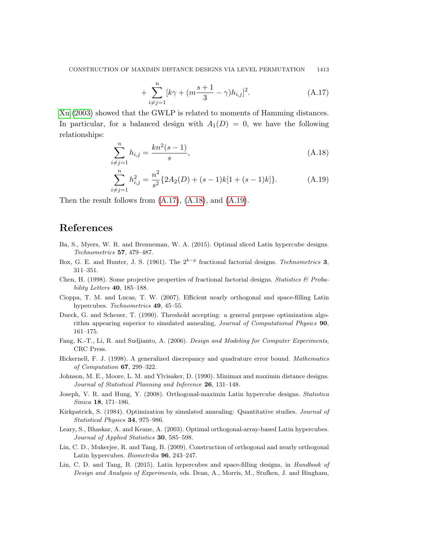<span id="page-18-15"></span><span id="page-18-14"></span><span id="page-18-13"></span>
$$
+\sum_{i\neq j=1}^{n} [k\gamma + (m\frac{s+1}{3} - \gamma)h_{i,j}]^{2}.
$$
 (A.17)

[Xu](#page-19-11) [\(2003\)](#page-19-11) showed that the GWLP is related to moments of Hamming distances. In particular, for a balanced design with  $A_1(D) = 0$ , we have the following relationships:

$$
\sum_{i \neq j=1}^{n} h_{i,j} = \frac{kn^2(s-1)}{s},\tag{A.18}
$$

$$
\sum_{i \neq j=1}^{n} h_{i,j}^{2} = \frac{n^{2}}{s^{2}} \{ 2A_{2}(D) + (s-1)k[1 + (s-1)k] \}.
$$
 (A.19)

Then the result follows from [\(A.17\)](#page-18-13), [\(A.18\)](#page-18-14), and [\(A.19\)](#page-18-15).

# References

- <span id="page-18-6"></span>Ba, S., Myers, W. R. and Brenneman, W. A. (2015). Optimal sliced Latin hypercube designs. Technometrics 57, 479–487.
- <span id="page-18-11"></span>Box, G. E. and Hunter, J. S. (1961). The  $2^{k-p}$  fractional factorial designs. Technometrics 3, 311–351.
- <span id="page-18-12"></span>Chen, H. (1998). Some projective properties of fractional factorial designs. Statistics  $\mathcal{B}$  Probability Letters 40, 185–188.
- <span id="page-18-1"></span>Cioppa, T. M. and Lucas, T. W. (2007). Efficient nearly orthogonal and space-filling Latin hypercubes. Technometrics 49, 45–55.
- <span id="page-18-9"></span>Dueck, G. and Scheuer, T. (1990). Threshold accepting: a general purpose optimization algorithm appearing superior to simulated annealing, Journal of Computational Physics 90, 161–175.
- <span id="page-18-0"></span>Fang, K.-T., Li, R. and Sudjianto, A. (2006). Design and Modeling for Computer Experiments, CRC Press.
- <span id="page-18-3"></span>Hickernell, F. J. (1998). A generalized discrepancy and quadrature error bound. Mathematics of Computation 67, 299–322.
- <span id="page-18-4"></span>Johnson, M. E., Moore, L. M. and Ylvisaker, D. (1990). Minimax and maximin distance designs. Journal of Statistical Planning and Inference 26, 131–148.
- <span id="page-18-5"></span>Joseph, V. R. and Hung, Y. (2008). Orthogonal-maximin Latin hypercube designs. Statistica Sinica 18, 171–186.
- <span id="page-18-10"></span>Kirkpatrick, S. (1984). Optimization by simulated annealing: Quantitative studies. Journal of Statistical Physics 34, 975–986.
- <span id="page-18-8"></span>Leary, S., Bhaskar, A. and Keane, A. (2003). Optimal orthogonal-array-based Latin hypercubes. Journal of Applied Statistics **30**, 585-598.
- <span id="page-18-2"></span>Lin, C. D., Mukerjee, R. and Tang, B. (2009). Construction of orthogonal and nearly orthogonal Latin hypercubes. Biometrika 96, 243–247.
- <span id="page-18-7"></span>Lin, C. D. and Tang, B. (2015). Latin hypercubes and space-filling designs, in Handbook of Design and Analysis of Experiments, eds. Dean, A., Morris, M., Stufken, J. and Bingham,